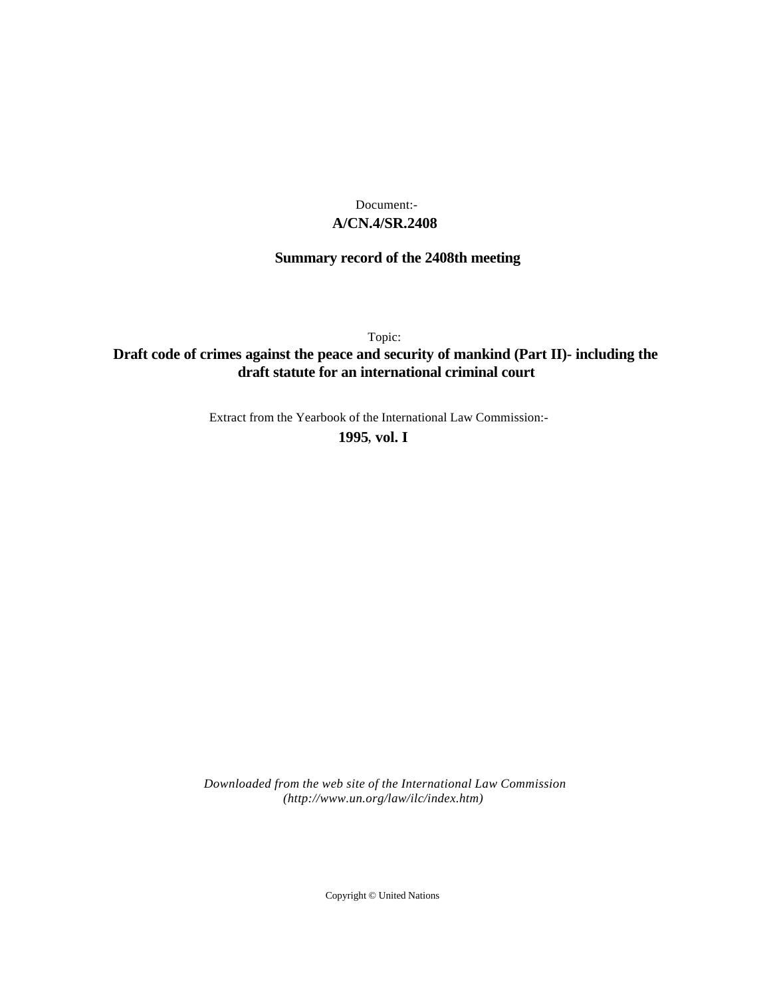## **A/CN.4/SR.2408** Document:-

## **Summary record of the 2408th meeting**

Topic:

# **Draft code of crimes against the peace and security of mankind (Part II)- including the draft statute for an international criminal court**

Extract from the Yearbook of the International Law Commission:-

**1995** , **vol. I**

*Downloaded from the web site of the International Law Commission (http://www.un.org/law/ilc/index.htm)*

Copyright © United Nations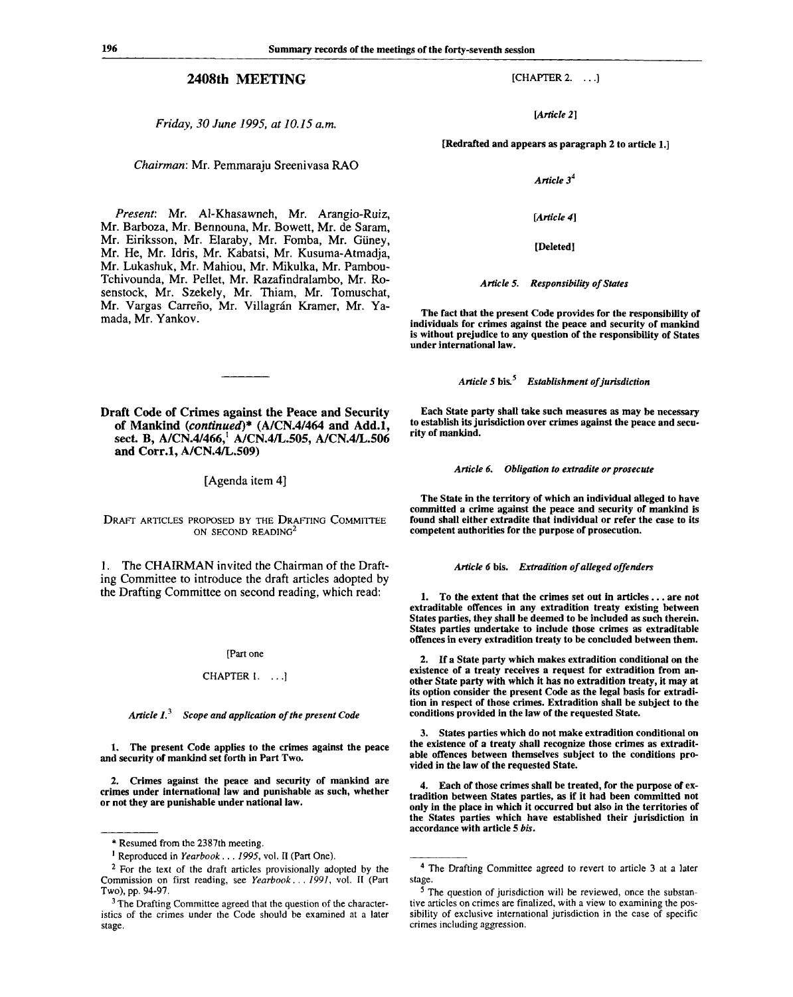*Friday, 30 June 1995, at 10.15 a.m.*

*Chairman:* Mr. Pemmaraju Sreenivasa RAO

*Present:* Mr. Al-Khasawneh, Mr. Arangio-Ruiz, Mr. Barboza, Mr. Bennouna, Mr. Bowett, Mr. de Saram, Mr. Eiriksson, Mr. Elaraby, Mr. Fomba, Mr. Giiney, Mr. He, Mr. Idris, Mr. Kabatsi, Mr. Kusuma-Atmadja, Mr. Lukashuk, Mr. Mahiou, Mr. Mikulka, Mr. Pambou-Tchivounda, Mr. Pellet, Mr. Razafindralambo, Mr. Rosenstock, Mr. Szekely, Mr. Thiam, Mr. Tomuschat, Mr. Vargas Carreño, Mr. Villagrán Kramer, Mr. Yamada, Mr. Yankov.

**Draft Code of Crimes against the Peace and Security of Mankind** *(continued)\** **(A/CN.4/464 and Add.l, sect. B, A/CN.4/466,<sup>1</sup> A/CN.4/L.505, A/CN.4/L.506 and Corr.l, A/CN.4/L.509)**

[Agenda item 4]

DRAFT ARTICLES PROPOSED BY THE DRAFTING COMMITTEE ON SECOND READING<sup>2</sup>

1. The CHAIRMAN invited the Chairman of the Drafting Committee to introduce the draft articles adopted by the Drafting Committee on second reading, which read:

[Part one

#### CHAPTER **1. .. .]**

*Article I.<sup>3</sup> Scope and application of the present Code*

**1. The present Code applies to the crimes against the peace and security of mankind set forth in Part Two.**

**2. Crimes against the peace and security of mankind are crimes under international law and punishable as such, whether or not they are punishable under national law.**

*[Article 2]*

**[Redrafted and appears as paragraph 2 to article 1.]**

*Article 3<sup>4</sup>*

*[Article 4]*

**[Deleted]**

*Article* **5.** *Responsibility of States*

**The fact that the present Code provides for the responsibility of individuals for crimes against the peace and security of mankind is without prejudice to any question of the responsibility of States under international law.**

*Article 5* **bis.** *Establishment of jurisdiction*

**Each State party shall take such measures as may be necessary to establish its jurisdiction over crimes against the peace and security of mankind.**

*Article 6. Obligation to extradite or prosecute*

**The State in the territory of which an individual alleged to have committed a crime against the peace and security of mankind is found shall either extradite that individual or refer the case to its competent authorities for the purpose of prosecution.**

#### *Article 6* **bis.** *Extradition of alleged offenders*

**1. To the extent that the crimes set out in articles .. . are not extraditable offences in any extradition treaty existing between States parties, they shall be deemed to be included as such therein. States parties undertake to include those crimes as extraditable offences in every extradition treaty to be concluded between them.**

**2. If a State party which makes extradition conditional on the existence of a treaty receives a request for extradition from another State party with which it has no extradition treaty, it may at its option consider the present Code as the legal basis for extradition in respect of those crimes. Extradition shall be subject to the conditions provided in the law of the requested State.**

**3. States parties which do not make extradition conditional on the existence of a treaty shall recognize those crimes as extraditable offences between themselves subject to the conditions provided in the law of the requested State.**

**4. Each of those crimes shall be treated, for the purpose of extradition between States parties, as if it had been committed not only in the place in which it occurred but also in the territories of the States parties which have established their jurisdiction in accordance with article 5** *bis.*

<sup>\*</sup> Resumed from the 2387th meeting.

<sup>1</sup> Reproduced in *Yearbook . . . 1995,* vol. II (Part One).

<sup>&</sup>lt;sup>2</sup> For the text of the draft articles provisionally adopted by the Commission on first reading, see *Yearbook. . . 1991,* vol. II (Part Two), pp. 94-97.

<sup>&</sup>lt;sup>3</sup> The Drafting Committee agreed that the question of the characteristics of the crimes under the Code should be examined at a later stage.

<sup>&</sup>lt;sup>4</sup> The Drafting Committee agreed to revert to article 3 at a later stage.

<sup>&</sup>lt;sup>5</sup> The question of jurisdiction will be reviewed, once the substantive articles on crimes are finalized, with a view to examining the possibility of exclusive international jurisdiction in the case of specific crimes including aggression.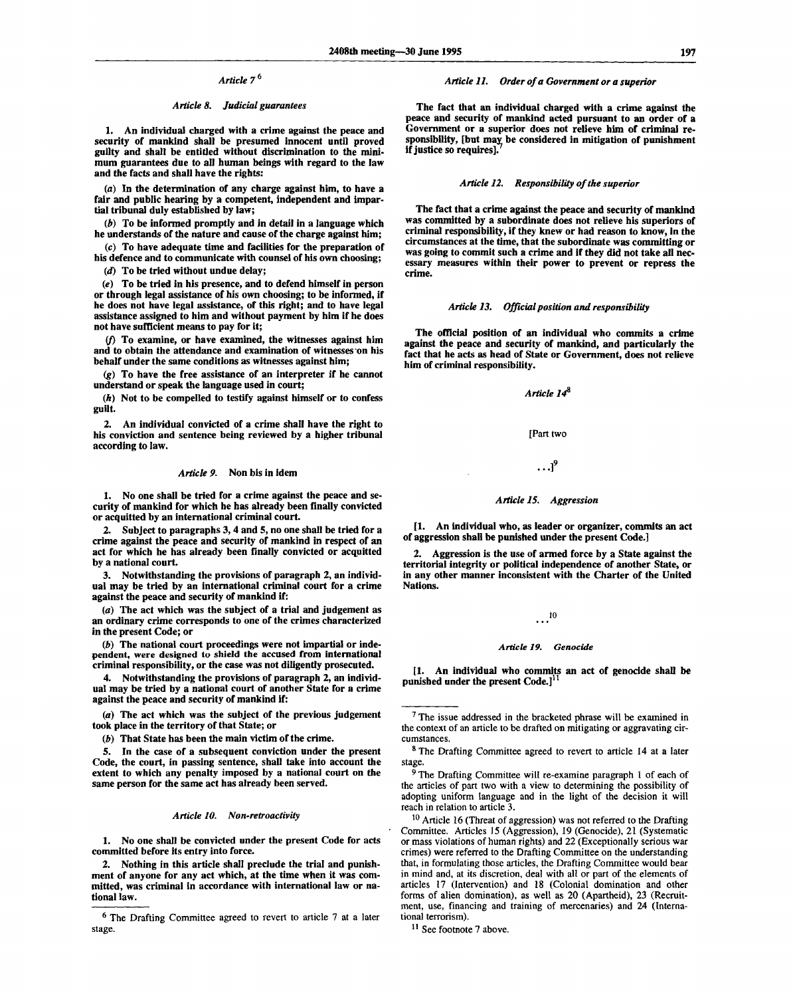### *Article 7<sup>b</sup>*

#### *Article 8. Judicial guarantees*

1. An individual charged with a crime against the peace and security of mankind shall be presumed innocent until proved guilty and shall be entitled without discrimination to the minimum guarantees due to all human beings with regard to the law and the facts and shall have the rights:

(a) In the determination of any charge against him, to have a fair and public hearing by a competent, independent and impartial tribunal duly established by law;

*(b)* To be informed promptly and in detail in a language which he understands of the nature and cause of the charge against him;

(c) To have adequate time and facilities for the preparation of his defence and to communicate with counsel of his own choosing;

*(d)* To be tried without undue delay;

*(e)* To be tried in his presence, and to defend himself in person or through legal assistance of his own choosing; to be informed, if he does not have legal assistance, of this right; and to have legal assistance assigned to him and without payment by him if he does not have sufficient means to pay for it;

*if)* To examine, or have examined, the witnesses against him and to obtain the attendance and examination of witnesses on his behalf under the same conditions as witnesses against him;

*(g)* To have the free assistance of an interpreter if he cannot understand or speak the language used in court;

*(h)* Not to be compelled to testify against himself or to confess guilt.

2. An individual convicted of a crime shall have the right to his conviction and sentence being reviewed by a higher tribunal according to law.

#### *Article 9.* Non bis in idem

1. No one shall be tried for a crime against the peace and security of mankind for which he has already been finally convicted or acquitted by an international criminal court.

2. Subject to paragraphs 3,4 and 5, no one shall be tried for a crime against the peace and security of mankind in respect of an act for which he has already been finally convicted or acquitted by a national court.

3. Notwithstanding the provisions of paragraph 2, an individual may be tried by an international criminal court for a crime against the peace and security of mankind if:

*(a)* The act which was the subject of a trial and judgement as an ordinary crime corresponds to one of the crimes characterized in the present Code; or

*(b)* The national court proceedings were not impartial or independent, were designed to shield the accused from international criminal responsibility, or the case was not diligently prosecuted.

4. Notwithstanding the provisions of paragraph 2, an individual may be tried by a national court of another State for a crime against the peace and security of mankind if:

(a) The act which was the subject of the previous judgement took place in the territory of that State; or

*(b)* That State has been the main victim of the crime.

5. In the case of a subsequent conviction under the present Code, the court, in passing sentence, shall take into account the extent to which any penalty imposed by a national court on the same person for the same act has already been served.

#### *Article 10. Non-retroactivity*

1. No one shall be convicted under the present Code for acts committed before its entry into force.

2. Nothing in this article shall preclude the trial and punishment of anyone for any act which, at the time when it was committed, was criminal in accordance with international law or national law.

#### *Article 11. Order of a Government or a superior*

The fact that an individual charged with a crime against the peace and security of mankind acted pursuant to an order of a Government or a superior does not relieve him of criminal responsibility, [but may be considered in mitigation of punishment if justice so requires].

#### *Article 12. Responsibility of the superior*

The fact that a crime against the peace and security of mankind was committed by a subordinate does not relieve his superiors of criminal responsibility, if they knew or had reason to know, in the circumstances at the time, that the subordinate was committing or was going to commit such a crime and if they did not take all necessary measures within their power to prevent or repress the crime.

#### *Article 13. Official position and responsibility*

The official position of an individual who commits a crime against the peace and security of mankind, and particularly the fact that he acts as head of State or Government, does not relieve him of criminal responsibility.

*Article 1<P*

#### [Part two

# **...I"**

#### *Article 15. Aggression*

[1. An individual who, as leader or organizer, commits an act of aggression shall be punished under the present Code.]

2. Aggression is the use of armed force by a State against the territorial integrity or political independence of another State, or in any other manner inconsistent with the Charter of the United Nations.

# **10**

#### *Article 19. Genocide*

[1. An individual who commits an act of genocide shall be punished under the present Code.]<sup>1</sup>

 $10$  Article 16 (Threat of aggression) was not referred to the Drafting Committee. Articles 15 (Aggression), 19 (Genocide), 21 (Systematic or mass violations of human rights) and 22 (Exceptionally serious war crimes) were referred to the Drafting Committee on the understanding that, in formulating those articles, the Drafting Committee would bear in mind and, at its discretion, deal with all or part of the elements of articles 17 (Intervention) and 18 (Colonial domination and other forms of alien domination), as well as 20 (Apartheid), 23 (Recruitment, use, financing and training of mercenaries) and 24 (International terrorism).

<sup>11</sup> See footnote 7 above.

<sup>&</sup>lt;sup>6</sup> The Drafting Committee agreed to revert to article 7 at a later stage.

<sup>&</sup>lt;sup>7</sup> The issue addressed in the bracketed phrase will be examined in the context of an article to be drafted on mitigating or aggravating circumstances.

<sup>&</sup>lt;sup>8</sup> The Drafting Committee agreed to revert to article 14 at a later stage.

<sup>&</sup>lt;sup>9</sup> The Drafting Committee will re-examine paragraph 1 of each of the articles of part two with a view to determining the possibility of adopting uniform language and in the light of the decision it will reach in relation to article 3.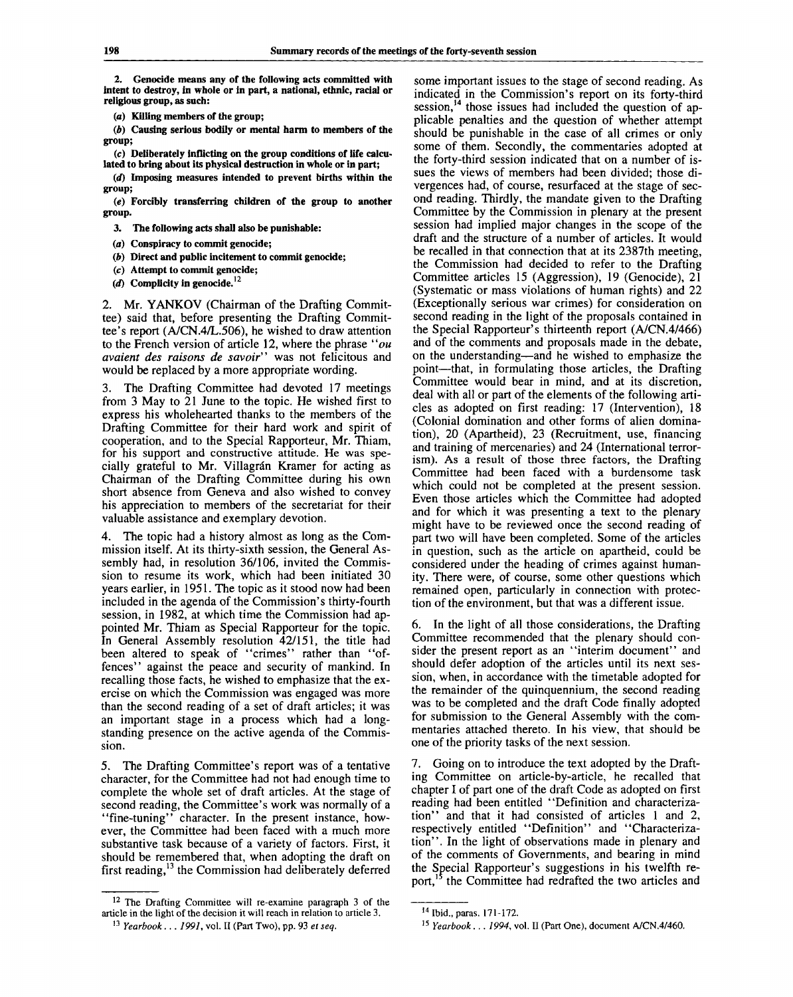**2. Genocide means any of the following acts committed with intent to destroy, in whole or in part, a national, ethnic, racial or religious group, as such:**

**(a) Killing members of the group;**

*(b)* **Causing serious bodily or mental harm to members of the group;**

**(c) Deliberately inflicting on the group conditions of life calculated to bring about its physical destruction in whole or in part;**

*(d)* **Imposing measures intended to prevent births within the group;**

*(e)* **Forcibly transferring children of the group to another group.**

**3. The following acts shall also be punishable:**

*(a)* **Conspiracy to commit genocide;**

*(b)* **Direct and public incitement to commit genocide;**

- **(c) Attempt to commit genocide;**
- *id)* **Complicity in genocide.<sup>12</sup>**

2. Mr. YANKOV (Chairman of the Drafting Committee) said that, before presenting the Drafting Committee's report (A/CN.4/L.506), he wished to draw attention to the French version of article 12, where the phrase " $ou$ *avaient des raisons de savoir"* was not felicitous and would be replaced by a more appropriate wording.

The Drafting Committee had devoted 17 meetings from 3 May to 21 June to the topic. He wished first to express his wholehearted thanks to the members of the Drafting Committee for their hard work and spirit of cooperation, and to the Special Rapporteur, Mr. Thiam, for his support and constructive attitude. He was specially grateful to Mr. Villagrán Kramer for acting as Chairman of the Drafting Committee during his own short absence from Geneva and also wished to convey his appreciation to members of the secretariat for their valuable assistance and exemplary devotion.

4. The topic had a history almost as long as the Commission itself. At its thirty-sixth session, the General Assembly had, in resolution 36/106, invited the Commission to resume its work, which had been initiated 30 years earlier, in 1951. The topic as it stood now had been included in the agenda of the Commission's thirty-fourth session, in 1982, at which time the Commission had appointed Mr. Thiam as Special Rapporteur for the topic. In General Assembly resolution 42/151, the title had been altered to speak of "crimes" rather than "offences" against the peace and security of mankind. In recalling those facts, he wished to emphasize that the exercise on which the Commission was engaged was more than the second reading of a set of draft articles; it was an important stage in a process which had a longstanding presence on the active agenda of the Commission.

5. The Drafting Committee's report was of a tentative character, for the Committee had not had enough time to complete the whole set of draft articles. At the stage of second reading, the Committee's work was normally of a 'fine-tuning'' character. In the present instance, however, the Committee had been faced with a much more substantive task because of a variety of factors. First, it should be remembered that, when adopting the draft on first reading,<sup>13</sup> the Commission had deliberately deferred

<sup>12</sup> The Drafting Committee will re-examine paragraph 3 of the article in the light of the decision it will reach in relation to article 3.

some important issues to the stage of second reading. As indicated in the Commission's report on its forty-third session,<sup>14</sup> those issues had included the question of applicable penalties and the question of whether attempt should be punishable in the case of all crimes or only some of them. Secondly, the commentaries adopted at the forty-third session indicated that on a number of issues the views of members had been divided; those divergences had, of course, resurfaced at the stage of second reading. Thirdly, the mandate given to the Drafting Committee by the Commission in plenary at the present session had implied major changes in the scope of the draft and the structure of a number of articles. It would be recalled in that connection that at its 2387th meeting, the Commission had decided to refer to the Drafting Committee articles 15 (Aggression), 19 (Genocide), 21 (Systematic or mass violations of human rights) and 22 (Exceptionally serious war crimes) for consideration on second reading in the light of the proposals contained in the Special Rapporteur's thirteenth report (A/CN.4/466) and of the comments and proposals made in the debate, on the understanding—and he wished to emphasize the point—that, in formulating those articles, the Drafting Committee would bear in mind, and at its discretion, deal with all or part of the elements of the following articles as adopted on first reading: 17 (Intervention), 18 (Colonial domination and other forms of alien domination), 20 (Apartheid), 23 (Recruitment, use, financing and training of mercenaries) and 24 (International terrorism). As a result of those three factors, the Drafting Committee had been faced with a burdensome task which could not be completed at the present session. Even those articles which the Committee had adopted and for which it was presenting a text to the plenary might have to be reviewed once the second reading of part two will have been completed. Some of the articles in question, such as the article on apartheid, could be considered under the heading of crimes against humanity. There were, of course, some other questions which remained open, particularly in connection with protection of the environment, but that was a different issue.

6. In the light of all those considerations, the Drafting Committee recommended that the plenary should consider the present report as an "interim document" and should defer adoption of the articles until its next session, when, in accordance with the timetable adopted for the remainder of the quinquennium, the second reading was to be completed and the draft Code finally adopted for submission to the General Assembly with the commentaries attached thereto. In his view, that should be one of the priority tasks of the next session.

7. Going on to introduce the text adopted by the Drafting Committee on article-by-article, he recalled that chapter I of part one of the draft Code as adopted on first reading had been entitled "Definition and characterization" and that it had consisted of articles 1 and 2, respectively entitled "Definition" and "Characterization". In the light of observations made in plenary and of the comments of Governments, and bearing in mind the Special Rapporteur's suggestions in his twelfth report,<sup>15</sup> the Committee had redrafted the two articles and

<sup>13</sup>  *Yearbook. . . 1991,* vol. II (Part Two), pp. 93 *et seq.*

<sup>14</sup> Ibid., paras. 171-172.

<sup>15</sup>  *Yearbook . . . 1994,* vol. II (Part One), document A/CN.4/460.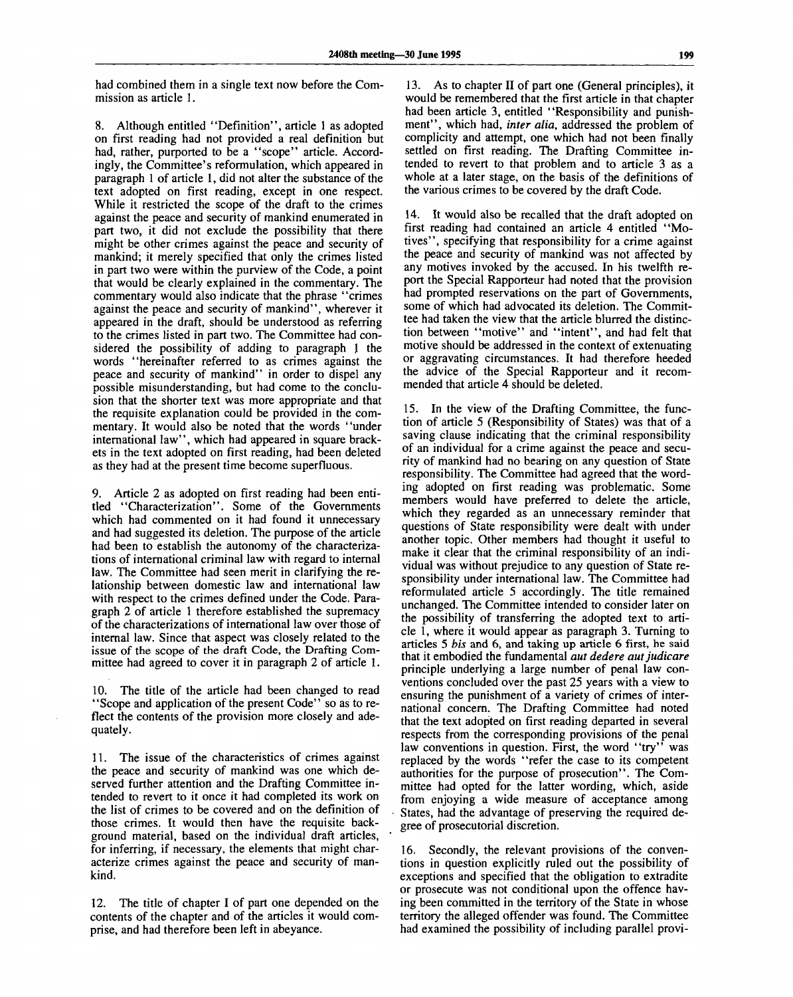had combined them in a single text now before the Commission as article 1.

8. Although entitled "Definition", article 1 as adopted on first reading had not provided a real definition but had, rather, purported to be a "scope" article. Accordingly, the Committee's reformulation, which appeared in paragraph 1 of article 1, did not alter the substance of the text adopted on first reading, except in one respect. While it restricted the scope of the draft to the crimes against the peace and security of mankind enumerated in part two, it did not exclude the possibility that there might be other crimes against the peace and security of mankind; it merely specified that only the crimes listed in part two were within the purview of the Code, a point that would be clearly explained in the commentary. The commentary would also indicate that the phrase "crimes against the peace and security of mankind", wherever it appeared in the draft, should be understood as referring to the crimes listed in part two. The Committee had considered the possibility of adding to paragraph 1 the words "hereinafter referred to as crimes against the peace and security of mankind" in order to dispel any possible misunderstanding, but had come to the conclusion that the shorter text was more appropriate and that the requisite explanation could be provided in the commentary. It would also be noted that the words "under international law", which had appeared in square brackets in the text adopted on first reading, had been deleted as they had at the present time become superfluous.

9. Article 2 as adopted on first reading had been entitled "Characterization". Some of the Governments which had commented on it had found it unnecessary and had suggested its deletion. The purpose of the article had been to establish the autonomy of the characterizations of international criminal law with regard to internal law. The Committee had seen merit in clarifying the relationship between domestic law and international law with respect to the crimes defined under the Code. Paragraph 2 of article 1 therefore established the supremacy of the characterizations of international law over those of internal law. Since that aspect was closely related to the issue of the scope of the draft Code, the Drafting Committee had agreed to cover it in paragraph 2 of article 1.

10. The title of the article had been changed to read "Scope and application of the present Code" so as to reflect the contents of the provision more closely and adequately.

11. The issue of the characteristics of crimes against the peace and security of mankind was one which deserved further attention and the Drafting Committee intended to revert to it once it had completed its work on the list of crimes to be covered and on the definition of those crimes. It would then have the requisite background material, based on the individual draft articles, for inferring, if necessary, the elements that might characterize crimes against the peace and security of mankind.

12. The title of chapter I of part one depended on the contents of the chapter and of the articles it would comprise, and had therefore been left in abeyance.

13. As to chapter II of part one (General principles), it would be remembered that the first article in that chapter had been article 3, entitled "Responsibility and punishment", which had, *inter alia,* addressed the problem of complicity and attempt, one which had not been finally settled on first reading. The Drafting Committee intended to revert to that problem and to article 3 as a whole at a later stage, on the basis of the definitions of the various crimes to be covered by the draft Code.

14. It would also be recalled that the draft adopted on first reading had contained an article 4 entitled "Motives", specifying that responsibility for a crime against the peace and security of mankind was not affected by any motives invoked by the accused. In his twelfth report the Special Rapporteur had noted that the provision had prompted reservations on the part of Governments, some of which had advocated its deletion. The Committee had taken the view that the article blurred the distinction between "motive" and "intent", and had felt that motive should be addressed in the context of extenuating or aggravating circumstances. It had therefore heeded the advice of the Special Rapporteur and it recommended that article 4 should be deleted.

15. In the view of the Drafting Committee, the function of article 5 (Responsibility of States) was that of a saving clause indicating that the criminal responsibility of an individual for a crime against the peace and security of mankind had no bearing on any question of State responsibility. The Committee had agreed that the wording adopted on first reading was problematic. Some members would have preferred to delete the article, which they regarded as an unnecessary reminder that questions of State responsibility were dealt with under another topic. Other members had thought it useful to make it clear that the criminal responsibility of an individual was without prejudice to any question of State responsibility under international law. The Committee had reformulated article 5 accordingly. The title remained unchanged. The Committee intended to consider later on the possibility of transferring the adopted text to article 1, where it would appear as paragraph 3. Turning to articles 5 *bis* and 6, and taking up article 6 first, he said that it embodied the fundamental *aut dedere autjudicare* principle underlying a large number of penal law conventions concluded over the past 25 years with a view to ensuring the punishment of a variety of crimes of international concern. The Drafting Committee had noted that the text adopted on first reading departed in several respects from the corresponding provisions of the penal law conventions in question. First, the word "try" was replaced by the words "refer the case to its competent authorities for the purpose of prosecution". The Committee had opted for the latter wording, which, aside from enjoying a wide measure of acceptance among States, had the advantage of preserving the required degree of prosecutorial discretion.

16. Secondly, the relevant provisions of the conventions in question explicitly ruled out the possibility of exceptions and specified that the obligation to extradite or prosecute was not conditional upon the offence having been committed in the territory of the State in whose territory the alleged offender was found. The Committee had examined the possibility of including parallel provi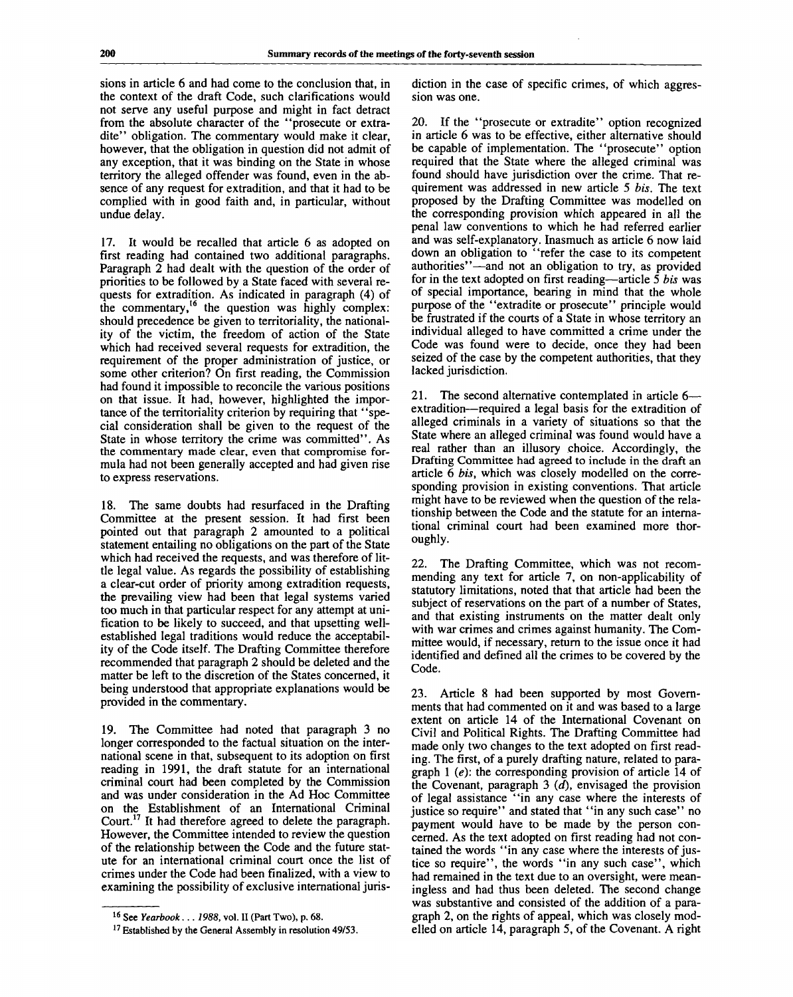sions in article 6 and had come to the conclusion that, in the context of the draft Code, such clarifications would not serve any useful purpose and might in fact detract from the absolute character of the "prosecute or extradite" obligation. The commentary would make it clear, however, that the obligation in question did not admit of any exception, that it was binding on the State in whose territory the alleged offender was found, even in the absence of any request for extradition, and that it had to be complied with in good faith and, in particular, without undue delay.

17. It would be recalled that article 6 as adopted on first reading had contained two additional paragraphs. Paragraph 2 had dealt with the question of the order of priorities to be followed by a State faced with several requests for extradition. As indicated in paragraph (4) of the commentary,<sup>16</sup> the question was highly complex: should precedence be given to territoriality, the nationality of the victim, the freedom of action of the State which had received several requests for extradition, the requirement of the proper administration of justice, or some other criterion? On first reading, the Commission had found it impossible to reconcile the various positions on that issue. It had, however, highlighted the importance of the territoriality criterion by requiring that "special consideration shall be given to the request of the State in whose territory the crime was committed". As the commentary made clear, even that compromise formula had not been generally accepted and had given rise to express reservations.

18. The same doubts had resurfaced in the Drafting Committee at the present session. It had first been pointed out that paragraph 2 amounted to a political statement entailing no obligations on the part of the State which had received the requests, and was therefore of little legal value. As regards the possibility of establishing a clear-cut order of priority among extradition requests, the prevailing view had been that legal systems varied too much in that particular respect for any attempt at unification to be likely to succeed, and that upsetting wellestablished legal traditions would reduce the acceptability of the Code itself. The Drafting Committee therefore recommended that paragraph 2 should be deleted and the matter be left to the discretion of the States concerned, it being understood that appropriate explanations would be provided in the commentary.

19. The Committee had noted that paragraph 3 no longer corresponded to the factual situation on the international scene in that, subsequent to its adoption on first reading in 1991, the draft statute for an international criminal court had been completed by the Commission and was under consideration in the Ad Hoc Committee on the Establishment of an International Criminal Court.<sup>17</sup> It had therefore agreed to delete the paragraph. However, the Committee intended to review the question of the relationship between the Code and the future statute for an international criminal court once the list of crimes under the Code had been finalized, with a view to examining the possibility of exclusive international jurisdiction in the case of specific crimes, of which aggression was one.

20. If the "prosecute or extradite" option recognized in article 6 was to be effective, either alternative should be capable of implementation. The "prosecute" option required that the State where the alleged criminal was found should have jurisdiction over the crime. That requirement was addressed in new article 5 *bis.* The text proposed by the Drafting Committee was modelled on the corresponding provision which appeared in all the penal law conventions to which he had referred earlier and was self-explanatory. Inasmuch as article 6 now laid down an obligation to "refer the case to its competent authorities"—and not an obligation to try, as provided for in the text adopted on first reading—article 5 *bis* was of special importance, bearing in mind that the whole purpose of the "extradite or prosecute" principle would be frustrated if the courts of a State in whose territory an individual alleged to have committed a crime under the Code was found were to decide, once they had been seized of the case by the competent authorities, that they lacked jurisdiction.

21. The second alternative contemplated in article 6 extradition—required a legal basis for the extradition of alleged criminals in a variety of situations so that the State where an alleged criminal was found would have a real rather than an illusory choice. Accordingly, the Drafting Committee had agreed to include in the draft an article 6 *bis,* which was closely modelled on the corresponding provision in existing conventions. That article might have to be reviewed when the question of the relationship between the Code and the statute for an international criminal court had been examined more thoroughly.

22. The Drafting Committee, which was not recommending any text for article 7, on non-applicability of statutory limitations, noted that that article had been the subject of reservations on the part of a number of States, and that existing instruments on the matter dealt only with war crimes and crimes against humanity. The Committee would, if necessary, return to the issue once it had identified and defined all the crimes to be covered by the Code.

23. Article 8 had been supported by most Governments that had commented on it and was based to a large extent on article 14 of the International Covenant on Civil and Political Rights. The Drafting Committee had made only two changes to the text adopted on first reading. The first, of a purely drafting nature, related to paragraph 1 *(e):* the corresponding provision of article 14 of the Covenant, paragraph 3 *(d),* envisaged the provision of legal assistance "in any case where the interests of justice so require" and stated that "in any such case" no payment would have to be made by the person concerned. As the text adopted on first reading had not contained the words "in any case where the interests of justice so require", the words "in any such case", which had remained in the text due to an oversight, were meaningless and had thus been deleted. The second change was substantive and consisted of the addition of a paragraph 2, on the rights of appeal, which was closely modelled on article 14, paragraph 5, of the Covenant. A right

<sup>16</sup> See *Yearbook... 1988,* vol. II (Part Two), p. 68.

<sup>&</sup>lt;sup>17</sup> Established by the General Assembly in resolution 49/53.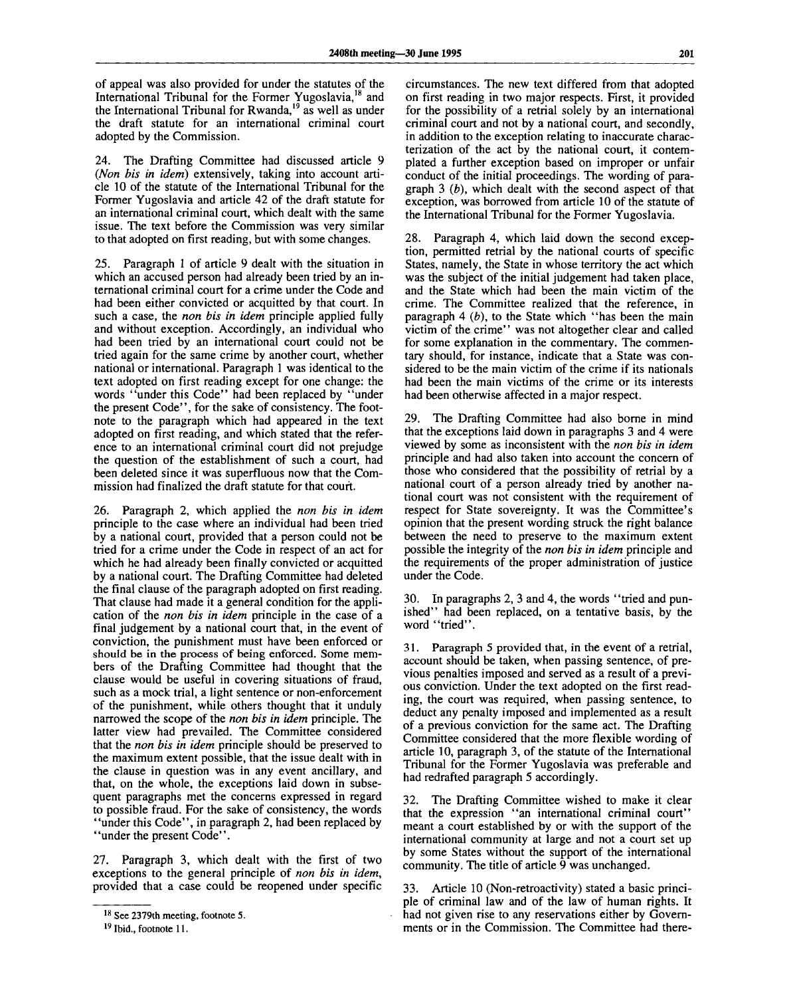of appeal was also provided for under the statutes of the International Tribunal for the Former Yugoslavia,<sup>18</sup> and the International Tribunal for Rwanda,<sup>19</sup> as well as under the draft statute for an international criminal court adopted by the Commission.

24. The Drafting Committee had discussed article 9 *(Non bis in idem)* extensively, taking into account article 10 of the statute of the International Tribunal for the Former Yugoslavia and article 42 of the draft statute for an international criminal court, which dealt with the same issue. The text before the Commission was very similar to that adopted on first reading, but with some changes.

25. Paragraph 1 of article 9 dealt with the situation in which an accused person had already been tried by an international criminal court for a crime under the Code and had been either convicted or acquitted by that court. In such a case, the *non bis in idem* principle applied fully and without exception. Accordingly, an individual who had been tried by an international court could not be tried again for the same crime by another court, whether national or international. Paragraph 1 was identical to the text adopted on first reading except for one change: the words "under this Code" had been replaced by "under the present Code", for the sake of consistency. The footnote to the paragraph which had appeared in the text adopted on first reading, and which stated that the reference to an international criminal court did not prejudge the question of the establishment of such a court, had been deleted since it was superfluous now that the Commission had finalized the draft statute for that court.

26. Paragraph 2, which applied the *non bis in idem* principle to the case where an individual had been tried by a national court, provided that a person could not be tried for a crime under the Code in respect of an act for which he had already been finally convicted or acquitted by a national court. The Drafting Committee had deleted the final clause of the paragraph adopted on first reading. That clause had made it a general condition for the application of the *non bis in idem* principle in the case of a final judgement by a national court that, in the event of conviction, the punishment must have been enforced or should be in the process of being enforced. Some members of the Drafting Committee had thought that the clause would be useful in covering situations of fraud, such as a mock trial, a light sentence or non-enforcement of the punishment, while others thought that it unduly narrowed the scope of the *non bis in idem* principle. The latter view had prevailed. The Committee considered that the *non bis in idem* principle should be preserved to the maximum extent possible, that the issue dealt with in the clause in question was in any event ancillary, and that, on the whole, the exceptions laid down in subsequent paragraphs met the concerns expressed in regard to possible fraud. For the sake of consistency, the words "under this Code", in paragraph 2, had been replaced by ' 'under the present Code''.

27. Paragraph 3, which dealt with the first of two exceptions to the general principle of *non bis in idem,* provided that a case could be reopened under specific

circumstances. The new text differed from that adopted on first reading in two major respects. First, it provided for the possibility of a retrial solely by an international criminal court and not by a national court, and secondly, in addition to the exception relating to inaccurate characterization of the act by the national court, it contemplated a further exception based on improper or unfair conduct of the initial proceedings. The wording of paragraph 3 *(b),* which dealt with the second aspect of that exception, was borrowed from article 10 of the statute of the International Tribunal for the Former Yugoslavia.

28. Paragraph 4, which laid down the second exception, permitted retrial by the national courts of specific States, namely, the State in whose territory the act which was the subject of the initial judgement had taken place, and the State which had been the main victim of the crime. The Committee realized that the reference, in paragraph 4 *(b),* to the State which "has been the main victim of the crime'' was not altogether clear and called for some explanation in the commentary. The commentary should, for instance, indicate that a State was considered to be the main victim of the crime if its nationals had been the main victims of the crime or its interests had been otherwise affected in a major respect.

29. The Drafting Committee had also borne in mind that the exceptions laid down in paragraphs 3 and 4 were viewed by some as inconsistent with the *non bis in idem* principle and had also taken into account the concern of those who considered that the possibility of retrial by a national court of a person already tried by another national court was not consistent with the requirement of respect for State sovereignty. It was the Committee's opinion that the present wording struck the right balance between the need to preserve to the maximum extent possible the integrity of the *non bis in idem* principle and the requirements of the proper administration of justice under the Code.

30. In paragraphs 2, 3 and 4, the words ' 'tried and punished" had been replaced, on a tentative basis, by the word "tried".

31. Paragraph 5 provided that, in the event of a retrial, account should be taken, when passing sentence, of previous penalties imposed and served as a result of a previous conviction. Under the text adopted on the first reading, the court was required, when passing sentence, to deduct any penalty imposed and implemented as a result of a previous conviction for the same act. The Drafting Committee considered that the more flexible wording of article 10, paragraph 3, of the statute of the International Tribunal for the Former Yugoslavia was preferable and had redrafted paragraph 5 accordingly.

32. The Drafting Committee wished to make it clear that the expression "an international criminal court" meant a court established by or with the support of the international community at large and not a court set up by some States without the support of the international community. The title of article 9 was unchanged.

33. Article 10 (Non-retroactivity) stated a basic principle of criminal law and of the law of human rights. It had not given rise to any reservations either by Governments or in the Commission. The Committee had there-

<sup>&</sup>lt;sup>18</sup> See 2379th meeting, footnote 5.

<sup>&</sup>lt;sup>19</sup> Ibid., footnote 11.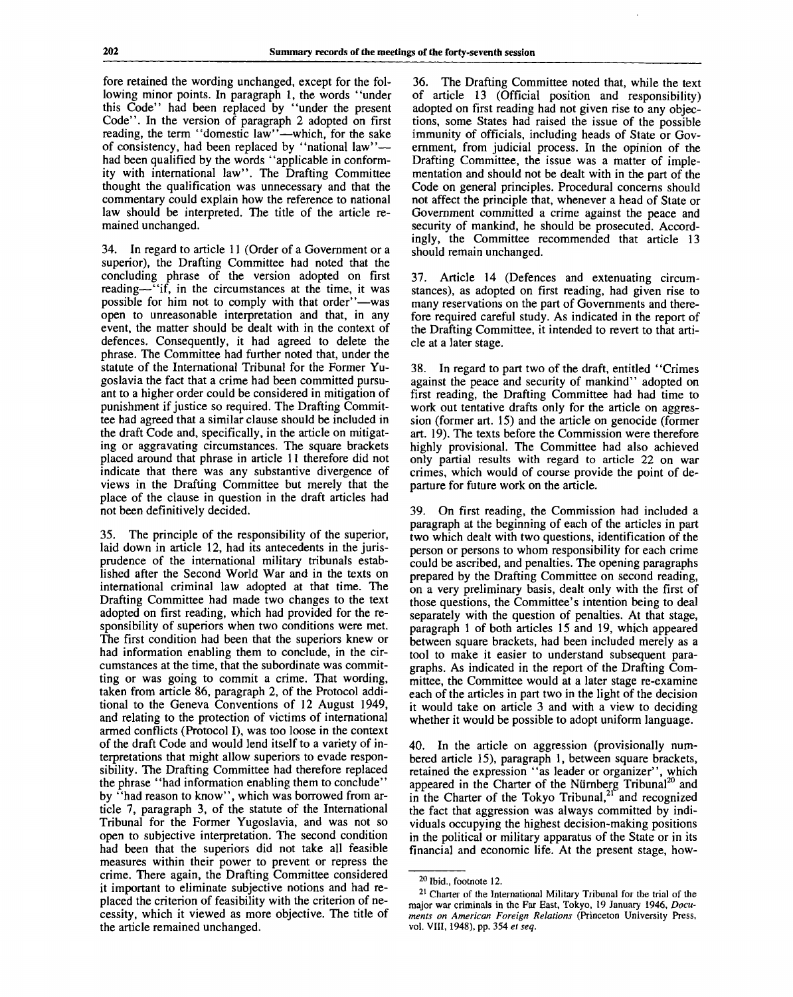fore retained the wording unchanged, except for the following minor points. In paragraph 1, the words "under this Code" had been replaced by "under the present Code". In the version of paragraph 2 adopted on first reading, the term "domestic law"—which, for the sake of consistency, had been replaced by "national law"had been qualified by the words "applicable in conformity with international law". The Drafting Committee thought the qualification was unnecessary and that the commentary could explain how the reference to national law should be interpreted. The title of the article remained unchanged.

34. In regard to article 11 (Order of a Government or a superior), the Drafting Committee had noted that the concluding phrase of the version adopted on first reading—"if, in the circumstances at the time, it was possible for him not to comply with that order"—was open to unreasonable interpretation and that, in any event, the matter should be dealt with in the context of defences. Consequently, it had agreed to delete the phrase. The Committee had further noted that, under the statute of the International Tribunal for the Former Yugoslavia the fact that a crime had been committed pursuant to a higher order could be considered in mitigation of punishment if justice so required. The Drafting Committee had agreed that a similar clause should be included in the draft Code and, specifically, in the article on mitigating or aggravating circumstances. The square brackets placed around that phrase in article 11 therefore did not indicate that there was any substantive divergence of views in the Drafting Committee but merely that the place of the clause in question in the draft articles had not been definitively decided.

35. The principle of the responsibility of the superior, laid down in article 12, had its antecedents in the jurisprudence of the international military tribunals established after the Second World War and in the texts on international criminal law adopted at that time. The Drafting Committee had made two changes to the text adopted on first reading, which had provided for the responsibility of superiors when two conditions were met. The first condition had been that the superiors knew or had information enabling them to conclude, in the circumstances at the time, that the subordinate was committing or was going to commit a crime. That wording, taken from article 86, paragraph 2, of the Protocol additional to the Geneva Conventions of 12 August 1949, and relating to the protection of victims of international armed conflicts (Protocol I), was too loose in the context of the draft Code and would lend itself to a variety of interpretations that might allow superiors to evade responsibility. The Drafting Committee had therefore replaced the phrase "had information enabling them to conclude" by "had reason to know", which was borrowed from article 7, paragraph 3, of the statute of the International Tribunal for the Former Yugoslavia, and was not so open to subjective interpretation. The second condition had been that the superiors did not take all feasible measures within their power to prevent or repress the crime. There again, the Drafting Committee considered it important to eliminate subjective notions and had replaced the criterion of feasibility with the criterion of necessity, which it viewed as more objective. The title of the article remained unchanged.

36. The Drafting Committee noted that, while the text of article 13 (Official position and responsibility) adopted on first reading had not given rise to any objections, some States had raised the issue of the possible immunity of officials, including heads of State or Government, from judicial process. In the opinion of the Drafting Committee, the issue was a matter of implementation and should not be dealt with in the part of the Code on general principles. Procedural concerns should not affect the principle that, whenever a head of State or Government committed a crime against the peace and security of mankind, he should be prosecuted. Accordingly, the Committee recommended that article 13 should remain unchanged.

37. Article 14 (Defences and extenuating circumstances), as adopted on first reading, had given rise to many reservations on the part of Governments and therefore required careful study. As indicated in the report of the Drafting Committee, it intended to revert to that article at a later stage.

38. In regard to part two of the draft, entitled "Crimes against the peace and security of mankind" adopted on first reading, the Drafting Committee had had time to work out tentative drafts only for the article on aggression (former art. 15) and the article on genocide (former art. 19). The texts before the Commission were therefore highly provisional. The Committee had also achieved only partial results with regard to article 22 on war crimes, which would of course provide the point of departure for future work on the article.

39. On first reading, the Commission had included a paragraph at the beginning of each of the articles in part two which dealt with two questions, identification of the person or persons to whom responsibility for each crime could be ascribed, and penalties. The opening paragraphs prepared by the Drafting Committee on second reading, on a very preliminary basis, dealt only with the first of those questions, the Committee's intention being to deal separately with the question of penalties. At that stage, paragraph 1 of both articles 15 and 19, which appeared between square brackets, had been included merely as a tool to make it easier to understand subsequent paragraphs. As indicated in the report of the Drafting Committee, the Committee would at a later stage re-examine each of the articles in part two in the light of the decision it would take on article 3 and with a view to deciding whether it would be possible to adopt uniform language.

40. In the article on aggression (provisionally numbered article 15), paragraph 1, between square brackets, retained the expression "as leader or organizer", which appeared in the Charter of the Nürnberg Tribunal<sup>20</sup> and in the Charter of the Tokyo Tribunal,<sup>21</sup> and recognized the fact that aggression was always committed by individuals occupying the highest decision-making positions in the political or military apparatus of the State or in its financial and economic life. At the present stage, how-

<sup>&</sup>lt;sup>20</sup> Ibid., footnote 12.

<sup>&</sup>lt;sup>21</sup> Charter of the International Military Tribunal for the trial of the major war criminals in the Far East, Tokyo, 19 January 1946, *Documents on American Foreign Relations* (Princeton University Press, vol. VIII, 1948), pp. 354 *et seq.*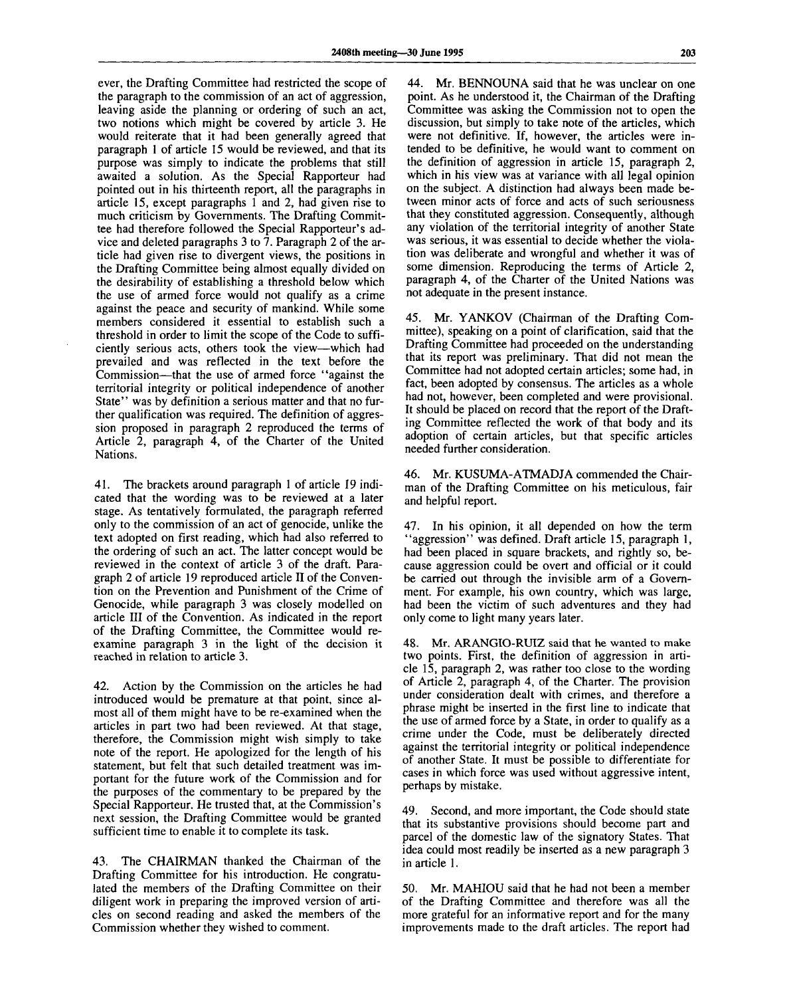ever, the Drafting Committee had restricted the scope of the paragraph to the commission of an act of aggression, leaving aside the planning or ordering of such an act, two notions which might be covered by article 3. He would reiterate that it had been generally agreed that paragraph 1 of article 15 would be reviewed, and that its purpose was simply to indicate the problems that still awaited a solution. As the Special Rapporteur had pointed out in his thirteenth report, all the paragraphs in article 15, except paragraphs 1 and 2, had given rise to much criticism by Governments. The Drafting Committee had therefore followed the Special Rapporteur's advice and deleted paragraphs 3 to 7. Paragraph 2 of the article had given rise to divergent views, the positions in the Drafting Committee being almost equally divided on the desirability of establishing a threshold below which the use of armed force would not qualify as a crime against the peace and security of mankind. While some members considered it essential to establish such a threshold in order to limit the scope of the Code to sufficiently serious acts, others took the view—which had prevailed and was reflected in the text before the Commission—that the use of armed force "against the territorial integrity or political independence of another State" was by definition a serious matter and that no further qualification was required. The definition of aggression proposed in paragraph 2 reproduced the terms of Article 2, paragraph 4, of the Charter of the United Nations.

41. The brackets around paragraph 1 of article 19 indicated that the wording was to be reviewed at a later stage. As tentatively formulated, the paragraph referred only to the commission of an act of genocide, unlike the text adopted on first reading, which had also referred to the ordering of such an act. The latter concept would be reviewed in the context of article 3 of the draft. Paragraph 2 of article 19 reproduced article II of the Convention on the Prevention and Punishment of the Crime of Genocide, while paragraph 3 was closely modelled on article III of the Convention. As indicated in the report of the Drafting Committee, the Committee would reexamine paragraph 3 in the light of the decision it reached in relation to article 3.

42. Action by the Commission on the articles he had introduced would be premature at that point, since almost all of them might have to be re-examined when the articles in part two had been reviewed. At that stage, therefore, the Commission might wish simply to take note of the report. He apologized for the length of his statement, but felt that such detailed treatment was important for the future work of the Commission and for the purposes of the commentary to be prepared by the Special Rapporteur. He trusted that, at the Commission's next session, the Drafting Committee would be granted sufficient time to enable it to complete its task.

43. The CHAIRMAN thanked the Chairman of the Drafting Committee for his introduction. He congratulated the members of the Drafting Committee on their diligent work in preparing the improved version of articles on second reading and asked the members of the Commission whether they wished to comment.

44. Mr. BENNOUNA said that he was unclear on one point. As he understood it, the Chairman of the Drafting Committee was asking the Commission not to open the discussion, but simply to take note of the articles, which were not definitive. If, however, the articles were intended to be definitive, he would want to comment on the definition of aggression in article 15, paragraph 2, which in his view was at variance with all legal opinion on the subject. A distinction had always been made between minor acts of force and acts of such seriousness that they constituted aggression. Consequently, although any violation of the territorial integrity of another State was serious, it was essential to decide whether the violation was deliberate and wrongful and whether it was of some dimension. Reproducing the terms of Article 2, paragraph 4, of the Charter of the United Nations was not adequate in the present instance.

45. Mr. YANKOV (Chairman of the Drafting Committee), speaking on a point of clarification, said that the Drafting Committee had proceeded on the understanding that its report was preliminary. That did not mean the Committee had not adopted certain articles; some had, in fact, been adopted by consensus. The articles as a whole had not, however, been completed and were provisional. It should be placed on record that the report of the Drafting Committee reflected the work of that body and its adoption of certain articles, but that specific articles needed further consideration.

46. Mr. KUSUMA-ATMADJA commended the Chairman of the Drafting Committee on his meticulous, fair and helpful report.

47. In his opinion, it all depended on how the term "aggression" was defined. Draft article 15, paragraph 1, had been placed in square brackets, and rightly so, because aggression could be overt and official or it could be carried out through the invisible arm of a Government. For example, his own country, which was large, had been the victim of such adventures and they had only come to light many years later.

48. Mr. ARANGIO-RUIZ said that he wanted to make two points. First, the definition of aggression in article 15, paragraph 2, was rather too close to the wording of Article 2, paragraph 4, of the Charter. The provision under consideration dealt with crimes, and therefore a phrase might be inserted in the first line to indicate that the use of armed force by a State, in order to qualify as a crime under the Code, must be deliberately directed against the territorial integrity or political independence of another State. It must be possible to differentiate for cases in which force was used without aggressive intent, perhaps by mistake.

49. Second, and more important, the Code should state that its substantive provisions should become part and parcel of the domestic law of the signatory States. That idea could most readily be inserted as a new paragraph 3 in article 1.

50. Mr. MAHIOU said that he had not been a member of the Drafting Committee and therefore was all the more grateful for an informative report and for the many improvements made to the draft articles. The report had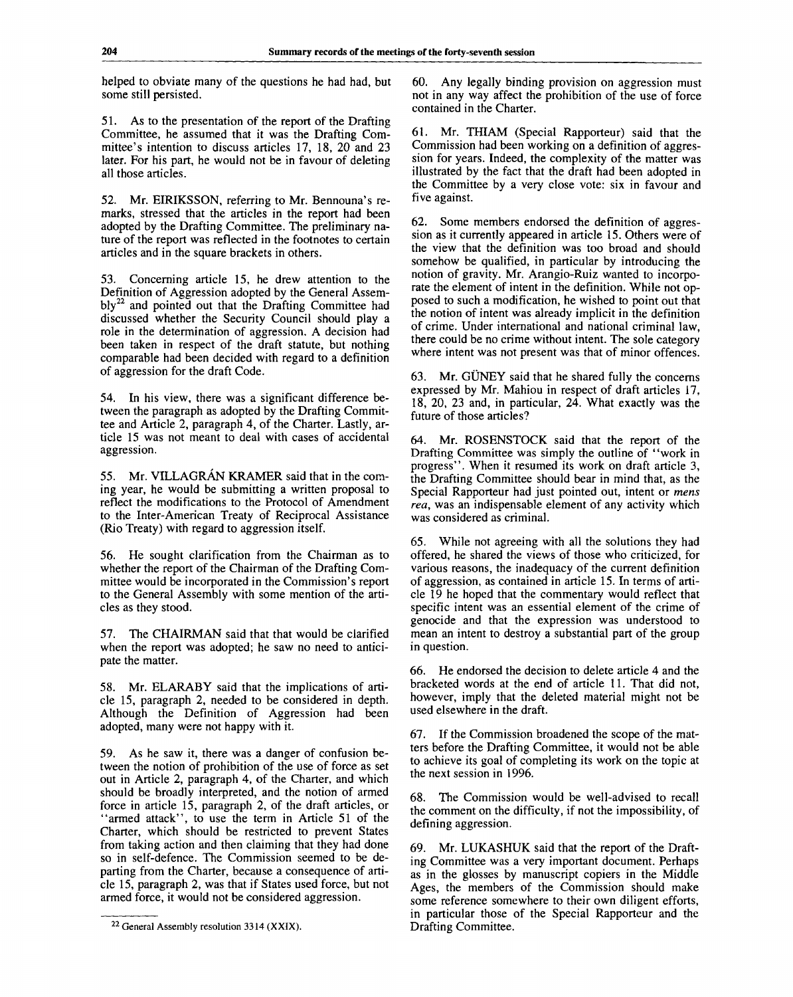helped to obviate many of the questions he had had, but some still persisted.

51. As to the presentation of the report of the Drafting Committee, he assumed that it was the Drafting Committee's intention to discuss articles 17, 18, 20 and 23 later. For his part, he would not be in favour of deleting all those articles.

52. Mr. EIRIKSSON, referring to Mr. Bennouna's remarks, stressed that the articles in the report had been adopted by the Drafting Committee. The preliminary nature of the report was reflected in the footnotes to certain articles and in the square brackets in others.

53. Concerning article 15, he drew attention to the Definition of Aggression adopted by the General Assem $b\text{ly}^{22}$  and pointed out that the Drafting Committee had discussed whether the Security Council should play a role in the determination of aggression. A decision had been taken in respect of the draft statute, but nothing comparable had been decided with regard to a definition of aggression for the draft Code.

54. In his view, there was a significant difference between the paragraph as adopted by the Drafting Committee and Article 2, paragraph 4, of the Charter. Lastly, article 15 was not meant to deal with cases of accidental aggression.

55. Mr. VILLAGRAN KRAMER said that in the coming year, he would be submitting a written proposal to reflect the modifications to the Protocol of Amendment to the Inter-American Treaty of Reciprocal Assistance (Rio Treaty) with regard to aggression itself.

56. He sought clarification from the Chairman as to whether the report of the Chairman of the Drafting Committee would be incorporated in the Commission's report to the General Assembly with some mention of the articles as they stood.

57. The CHAIRMAN said that that would be clarified when the report was adopted; he saw no need to anticipate the matter.

58. Mr. ELARABY said that the implications of article 15, paragraph 2, needed to be considered in depth. Although the Definition of Aggression had been adopted, many were not happy with it.

59. As he saw it, there was a danger of confusion between the notion of prohibition of the use of force as set out in Article 2, paragraph 4, of the Charter, and which should be broadly interpreted, and the notion of armed force in article 15, paragraph 2, of the draft articles, or "armed attack", to use the term in Article 51 of the Charter, which should be restricted to prevent States from taking action and then claiming that they had done so in self-defence. The Commission seemed to be departing from the Charter, because a consequence of article 15, paragraph 2, was that if States used force, but not armed force, it would not be considered aggression.

60. Any legally binding provision on aggression must not in any way affect the prohibition of the use of force contained in the Charter.

61. Mr. THIAM (Special Rapporteur) said that the Commission had been working on a definition of aggression for years. Indeed, the complexity of the matter was illustrated by the fact that the draft had been adopted in the Committee by a very close vote: six in favour and five against.

62. Some members endorsed the definition of aggression as it currently appeared in article 15. Others were of the view that the definition was too broad and should somehow be qualified, in particular by introducing the notion of gravity. Mr. Arangio-Ruiz wanted to incorporate the element of intent in the definition. While not opposed to such a modification, he wished to point out that the notion of intent was already implicit in the definition of crime. Under international and national criminal law, there could be no crime without intent. The sole category where intent was not present was that of minor offences.

63. Mr. GUNEY said that he shared fully the concerns expressed by Mr. Mahiou in respect of draft articles 17, 18, 20, 23 and, in particular, 24. What exactly was the future of those articles?

64. Mr. ROSENSTOCK said that the report of the Drafting Committee was simply the outline of "work in progress". When it resumed its work on draft article 3, the Drafting Committee should bear in mind that, as the Special Rapporteur had just pointed out, intent or *mens rea,* was an indispensable element of any activity which was considered as criminal.

65. While not agreeing with all the solutions they had offered, he shared the views of those who criticized, for various reasons, the inadequacy of the current definition of aggression, as contained in article 15. In terms of article 19 he hoped that the commentary would reflect that specific intent was an essential element of the crime of genocide and that the expression was understood to mean an intent to destroy a substantial part of the group in question.

66. He endorsed the decision to delete article 4 and the bracketed words at the end of article 11. That did not, however, imply that the deleted material might not be used elsewhere in the draft.

67. If the Commission broadened the scope of the matters before the Drafting Committee, it would not be able to achieve its goal of completing its work on the topic at the next session in 1996.

68. The Commission would be well-advised to recall the comment on the difficulty, if not the impossibility, of defining aggression.

69. Mr. LUKASHUK said that the report of the Drafting Committee was a very important document. Perhaps as in the glosses by manuscript copiers in the Middle Ages, the members of the Commission should make some reference somewhere to their own diligent efforts, in particular those of the Special Rapporteur and the Drafting Committee.

<sup>&</sup>lt;sup>22</sup> General Assembly resolution 3314 (XXIX).